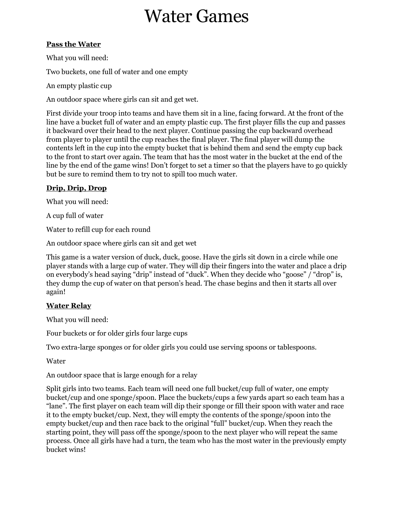# Water Games

# **Pass the Water**

What you will need:

Two buckets, one full of water and one empty

An empty plastic cup

An outdoor space where girls can sit and get wet.

First divide your troop into teams and have them sit in a line, facing forward. At the front of the line have a bucket full of water and an empty plastic cup. The first player fills the cup and passes it backward over their head to the next player. Continue passing the cup backward overhead from player to player until the cup reaches the final player. The final player will dump the contents left in the cup into the empty bucket that is behind them and send the empty cup back to the front to start over again. The team that has the most water in the bucket at the end of the line by the end of the game wins! Don't forget to set a timer so that the players have to go quickly but be sure to remind them to try not to spill too much water.

# **Drip, Drip, Drop**

What you will need:

A cup full of water

Water to refill cup for each round

An outdoor space where girls can sit and get wet

This game is a water version of duck, duck, goose. Have the girls sit down in a circle while one player stands with a large cup of water. They will dip their fingers into the water and place a drip on everybody's head saying "drip" instead of "duck". When they decide who "goose" / "drop" is, they dump the cup of water on that person's head. The chase begins and then it starts all over again!

# **Water Relay**

What you will need:

Four buckets or for older girls four large cups

Two extra-large sponges or for older girls you could use serving spoons or tablespoons.

Water

An outdoor space that is large enough for a relay

Split girls into two teams. Each team will need one full bucket/cup full of water, one empty bucket/cup and one sponge/spoon. Place the buckets/cups a few yards apart so each team has a "lane". The first player on each team will dip their sponge or fill their spoon with water and race it to the empty bucket/cup. Next, they will empty the contents of the sponge/spoon into the empty bucket/cup and then race back to the original "full" bucket/cup. When they reach the starting point, they will pass off the sponge/spoon to the next player who will repeat the same process. Once all girls have had a turn, the team who has the most water in the previously empty bucket wins!